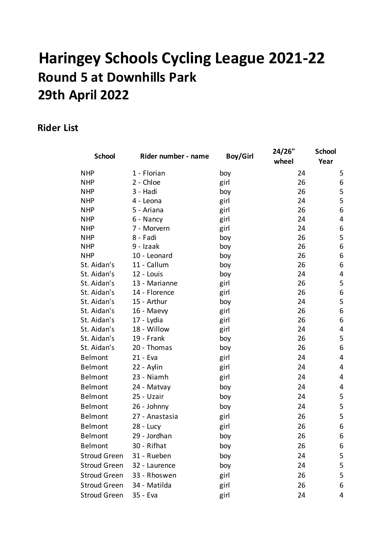# **Haringey Schools Cycling League 2021-22 Round 5 at Downhills Park 29th April 2022**

### **Rider List**

| <b>School</b>       | Rider number - name | <b>Boy/Girl</b> | 24/26"<br>wheel | <b>School</b><br>Year   |
|---------------------|---------------------|-----------------|-----------------|-------------------------|
| <b>NHP</b>          | 1 - Florian         | boy             | 24              | 5                       |
| <b>NHP</b>          | 2 - Chloe           | girl            | 26              | 6                       |
| <b>NHP</b>          | 3 - Hadi            | boy             | 26              | 5                       |
| <b>NHP</b>          | 4 - Leona           | girl            | 24              | 5                       |
| <b>NHP</b>          | 5 - Ariana          | girl            | 26              | $\boldsymbol{6}$        |
| <b>NHP</b>          | 6 - Nancy           | girl            | 24              | $\overline{4}$          |
| <b>NHP</b>          | 7 - Morvern         | girl            | 24              | $\boldsymbol{6}$        |
| <b>NHP</b>          | 8 - Fadi            | boy             | 26              | $\mathsf S$             |
| <b>NHP</b>          | 9 - Izaak           | boy             | 26              | 6                       |
| <b>NHP</b>          | 10 - Leonard        | boy             | 26              | $\boldsymbol{6}$        |
| St. Aidan's         | 11 - Callum         | boy             | 26              | 6                       |
| St. Aidan's         | 12 - Louis          | boy             | 24              | 4                       |
| St. Aidan's         | 13 - Marianne       | girl            | 26              | 5                       |
| St. Aidan's         | 14 - Florence       | girl            | 26              | $\boldsymbol{6}$        |
| St. Aidan's         | 15 - Arthur         | boy             | 24              | 5                       |
| St. Aidan's         | 16 - Maevy          | girl            | 26              | $\boldsymbol{6}$        |
| St. Aidan's         | 17 - Lydia          | girl            | 26              | 6                       |
| St. Aidan's         | 18 - Willow         | girl            | 24              | 4                       |
| St. Aidan's         | 19 - Frank          | boy             | 26              | 5                       |
| St. Aidan's         | 20 - Thomas         | boy             | 26              | 6                       |
| <b>Belmont</b>      | 21 - Eva            | girl            | 24              | $\overline{4}$          |
| <b>Belmont</b>      | 22 - Aylin          | girl            | 24              | $\overline{\mathbf{4}}$ |
| <b>Belmont</b>      | 23 - Niamh          | girl            | 24              | $\overline{4}$          |
| <b>Belmont</b>      | 24 - Matvay         | boy             | 24              | 4                       |
| <b>Belmont</b>      | 25 - Uzair          | boy             | 24              | 5                       |
| Belmont             | 26 - Johnny         | boy             | 24              | 5                       |
| <b>Belmont</b>      | 27 - Anastasia      | girl            | 26              | 5                       |
| <b>Belmont</b>      | $28 - Lucy$         | girl            | 26              | 6                       |
| <b>Belmont</b>      | 29 - Jordhan        | boy             | 26              | 6                       |
| <b>Belmont</b>      | 30 - Rifhat         | boy             | 26              | 6                       |
| <b>Stroud Green</b> | 31 - Rueben         | boy             | 24              | 5                       |
| <b>Stroud Green</b> | 32 - Laurence       | boy             | 24              | 5                       |
| <b>Stroud Green</b> | 33 - Rhoswen        | girl            | 26              | 5                       |
| <b>Stroud Green</b> | 34 - Matilda        | girl            | 26              | 6                       |
| <b>Stroud Green</b> | 35 - Eva            | girl            | 24              | 4                       |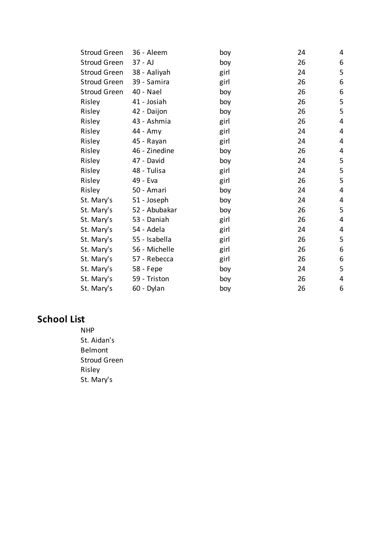| 36 - Aleem    | boy  | 24 | 4 |
|---------------|------|----|---|
| $37 - AJ$     | boy  | 26 | 6 |
| 38 - Aaliyah  | girl | 24 | 5 |
| 39 - Samira   | girl | 26 | 6 |
| 40 - Nael     | boy  | 26 | 6 |
| 41 - Josiah   | boy  | 26 | 5 |
| 42 - Daijon   | boy  | 26 | 5 |
| 43 - Ashmia   | girl | 26 | 4 |
| 44 - Amy      | girl | 24 | 4 |
| 45 - Rayan    | girl | 24 | 4 |
| 46 - Zinedine | boy  | 26 | 4 |
| 47 - David    | boy  | 24 | 5 |
| 48 - Tulisa   | girl | 24 | 5 |
| 49 - Eva      | girl | 26 | 5 |
| 50 - Amari    | boy  | 24 | 4 |
| 51 - Joseph   | boy  | 24 | 4 |
| 52 - Abubakar | boy  | 26 | 5 |
| 53 - Daniah   | girl | 26 | 4 |
| 54 - Adela    | girl | 24 | 4 |
| 55 - Isabella | girl | 26 | 5 |
| 56 - Michelle | girl | 26 | 6 |
| 57 - Rebecca  | girl | 26 | 6 |
| 58 - Fepe     | boy  | 24 | 5 |
| 59 - Triston  | boy  | 26 | 4 |
| 60 - Dylan    | boy  | 26 | 6 |
|               |      |    |   |

## **School List**

NHP St. Aidan's Belmont Stroud Green Risley St. Mary's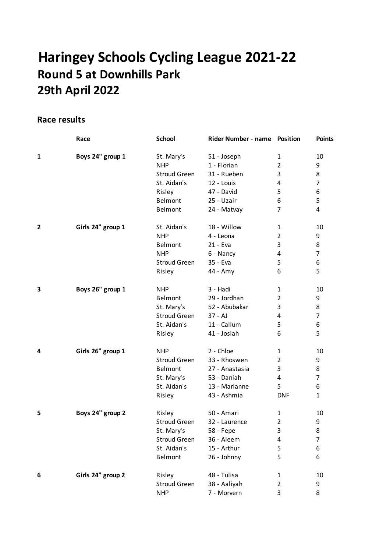## **Haringey Schools Cycling League 2021-22 Round 5 at Downhills Park 29th April 2022**

#### **Race results**

|   | Race              | <b>School</b>       | Rider Number - name | <b>Position</b> | <b>Points</b>  |
|---|-------------------|---------------------|---------------------|-----------------|----------------|
| 1 | Boys 24" group 1  | St. Mary's          | 51 - Joseph         | $\mathbf{1}$    | 10             |
|   |                   | <b>NHP</b>          | 1 - Florian         | $\overline{2}$  | 9              |
|   |                   | <b>Stroud Green</b> | 31 - Rueben         | 3               | 8              |
|   |                   | St. Aidan's         | 12 - Louis          | 4               | $\overline{7}$ |
|   |                   | Risley              | 47 - David          | 5               | 6              |
|   |                   | Belmont             | 25 - Uzair          | 6               | 5              |
|   |                   | Belmont             | 24 - Matvay         | 7               | 4              |
| 2 | Girls 24" group 1 | St. Aidan's         | 18 - Willow         | $\mathbf{1}$    | 10             |
|   |                   | <b>NHP</b>          | 4 - Leona           | $\overline{2}$  | 9              |
|   |                   | Belmont             | 21 - Eva            | 3               | 8              |
|   |                   | <b>NHP</b>          | 6 - Nancy           | 4               | $\overline{7}$ |
|   |                   | <b>Stroud Green</b> | 35 - Eva            | 5               | 6              |
|   |                   | Risley              | $44 - Amy$          | 6               | 5              |
| 3 | Boys 26" group 1  | <b>NHP</b>          | 3 - Hadi            | 1               | 10             |
|   |                   | Belmont             | 29 - Jordhan        | $\overline{2}$  | 9              |
|   |                   | St. Mary's          | 52 - Abubakar       | 3               | 8              |
|   |                   | <b>Stroud Green</b> | $37 - AJ$           | 4               | $\overline{7}$ |
|   |                   | St. Aidan's         | 11 - Callum         | 5               | 6              |
|   |                   | Risley              | 41 - Josiah         | 6               | 5              |
| 4 | Girls 26" group 1 | <b>NHP</b>          | 2 - Chloe           | 1               | 10             |
|   |                   | <b>Stroud Green</b> | 33 - Rhoswen        | $\overline{2}$  | 9              |
|   |                   | Belmont             | 27 - Anastasia      | 3               | 8              |
|   |                   | St. Mary's          | 53 - Daniah         | 4               | $\overline{7}$ |
|   |                   | St. Aidan's         | 13 - Marianne       | 5               | 6              |
|   |                   | Risley              | 43 - Ashmia         | <b>DNF</b>      | $\mathbf{1}$   |
| 5 | Boys 24" group 2  | Risley              | 50 - Amari          | 1               | 10             |
|   |                   | <b>Stroud Green</b> | 32 - Laurence       | $\overline{2}$  | 9              |
|   |                   | St. Mary's          | 58 - Fepe           | 3               | 8              |
|   |                   | <b>Stroud Green</b> | 36 - Aleem          | 4               | 7              |
|   |                   | St. Aidan's         | 15 - Arthur         | 5               | 6              |
|   |                   | Belmont             | 26 - Johnny         | 5               | 6              |
| 6 | Girls 24" group 2 | Risley              | 48 - Tulisa         | 1               | 10             |
|   |                   | <b>Stroud Green</b> | 38 - Aaliyah        | $\overline{2}$  | 9              |
|   |                   | <b>NHP</b>          | 7 - Morvern         | 3               | 8              |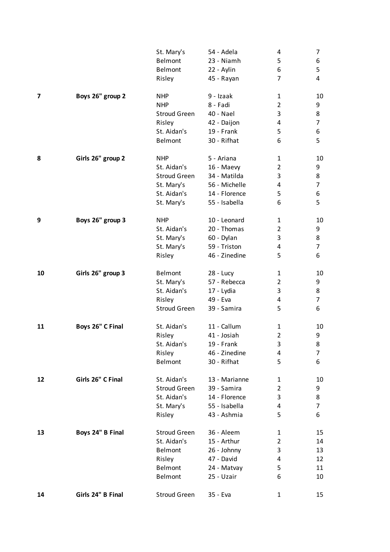|    |                   | St. Mary's          | 54 - Adela    | 4              | 7  |
|----|-------------------|---------------------|---------------|----------------|----|
|    |                   | Belmont             | 23 - Niamh    | 5              | 6  |
|    |                   | Belmont             | 22 - Aylin    | 6              | 5  |
|    |                   | Risley              | 45 - Rayan    | 7              | 4  |
| 7  | Boys 26" group 2  | <b>NHP</b>          | 9 - Izaak     | 1              | 10 |
|    |                   | <b>NHP</b>          | 8 - Fadi      | $\overline{2}$ | 9  |
|    |                   | <b>Stroud Green</b> | 40 - Nael     | 3              | 8  |
|    |                   | Risley              | 42 - Daijon   | 4              | 7  |
|    |                   | St. Aidan's         | 19 - Frank    | 5              | 6  |
|    |                   | Belmont             | 30 - Rifhat   | 6              | 5  |
| 8  | Girls 26" group 2 | <b>NHP</b>          | 5 - Ariana    | 1              | 10 |
|    |                   | St. Aidan's         | 16 - Maevy    | 2              | 9  |
|    |                   | <b>Stroud Green</b> | 34 - Matilda  | 3              | 8  |
|    |                   | St. Mary's          | 56 - Michelle | 4              | 7  |
|    |                   | St. Aidan's         | 14 - Florence | 5              | 6  |
|    |                   | St. Mary's          | 55 - Isabella | 6              | 5  |
| 9  | Boys 26" group 3  | <b>NHP</b>          | 10 - Leonard  | 1              | 10 |
|    |                   | St. Aidan's         | 20 - Thomas   | $\overline{2}$ | 9  |
|    |                   | St. Mary's          | 60 - Dylan    | 3              | 8  |
|    |                   | St. Mary's          | 59 - Triston  | 4              | 7  |
|    |                   | Risley              | 46 - Zinedine | 5              | 6  |
| 10 | Girls 26" group 3 | Belmont             | $28 - Lucy$   | 1              | 10 |
|    |                   | St. Mary's          | 57 - Rebecca  | $\overline{2}$ | 9  |
|    |                   | St. Aidan's         | 17 - Lydia    | 3              | 8  |
|    |                   | Risley              | 49 - Eva      | 4              | 7  |
|    |                   | <b>Stroud Green</b> | 39 - Samira   | 5              | 6  |
| 11 | Boys 26" C Final  | St. Aidan's         | 11 - Callum   | 1              | 10 |
|    |                   | Risley              | 41 - Josiah   | $\overline{2}$ | 9  |
|    |                   | St. Aidan's         | 19 - Frank    | 3              | 8  |
|    |                   | Risley              | 46 - Zinedine | 4              | 7  |
|    |                   | Belmont             | 30 - Rifhat   | 5              | 6  |
| 12 | Girls 26" C Final | St. Aidan's         | 13 - Marianne | 1              | 10 |
|    |                   | <b>Stroud Green</b> | 39 - Samira   | $\overline{2}$ | 9  |
|    |                   | St. Aidan's         | 14 - Florence | 3              | 8  |
|    |                   | St. Mary's          | 55 - Isabella | 4              | 7  |
|    |                   | Risley              | 43 - Ashmia   | 5              | 6  |
| 13 | Boys 24" B Final  | <b>Stroud Green</b> | 36 - Aleem    | 1              | 15 |
|    |                   | St. Aidan's         | 15 - Arthur   | 2              | 14 |
|    |                   | Belmont             | 26 - Johnny   | 3              | 13 |
|    |                   | Risley              | 47 - David    | 4              | 12 |
|    |                   | Belmont             | 24 - Matvay   | 5              | 11 |
|    |                   | Belmont             | 25 - Uzair    | 6              | 10 |
| 14 | Girls 24" B Final | <b>Stroud Green</b> | 35 - Eva      | 1              | 15 |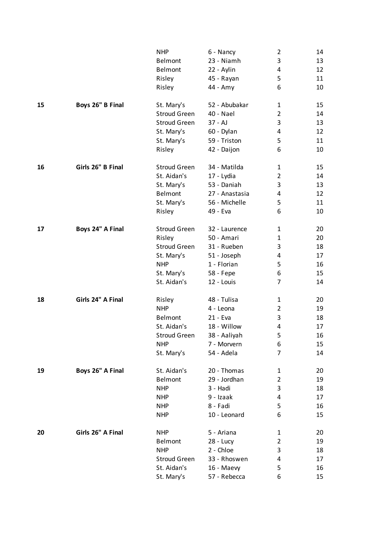|    |                   | <b>NHP</b>          | 6 - Nancy      | 2              | 14 |
|----|-------------------|---------------------|----------------|----------------|----|
|    |                   | Belmont             | 23 - Niamh     | 3              | 13 |
|    |                   | Belmont             | 22 - Aylin     | 4              | 12 |
|    |                   | Risley              | 45 - Rayan     | 5              | 11 |
|    |                   | Risley              | 44 - Amy       | 6              | 10 |
| 15 | Boys 26" B Final  | St. Mary's          | 52 - Abubakar  | 1              | 15 |
|    |                   | <b>Stroud Green</b> | 40 - Nael      | $\overline{2}$ | 14 |
|    |                   | <b>Stroud Green</b> | 37 - AJ        | 3              | 13 |
|    |                   | St. Mary's          | 60 - Dylan     | 4              | 12 |
|    |                   | St. Mary's          | 59 - Triston   | 5              | 11 |
|    |                   | Risley              | 42 - Daijon    | 6              | 10 |
| 16 | Girls 26" B Final | <b>Stroud Green</b> | 34 - Matilda   | 1              | 15 |
|    |                   | St. Aidan's         | 17 - Lydia     | $\overline{2}$ | 14 |
|    |                   | St. Mary's          | 53 - Daniah    | 3              | 13 |
|    |                   | <b>Belmont</b>      | 27 - Anastasia | 4              | 12 |
|    |                   | St. Mary's          | 56 - Michelle  | 5              | 11 |
|    |                   | Risley              | 49 - Eva       | 6              | 10 |
| 17 | Boys 24" A Final  | <b>Stroud Green</b> | 32 - Laurence  | 1              | 20 |
|    |                   | Risley              | 50 - Amari     | 1              | 20 |
|    |                   | <b>Stroud Green</b> | 31 - Rueben    | 3              | 18 |
|    |                   | St. Mary's          | 51 - Joseph    | 4              | 17 |
|    |                   | <b>NHP</b>          | 1 - Florian    | 5              | 16 |
|    |                   | St. Mary's          | 58 - Fepe      | 6              | 15 |
|    |                   | St. Aidan's         | 12 - Louis     | 7              | 14 |
| 18 | Girls 24" A Final | Risley              | 48 - Tulisa    | 1              | 20 |
|    |                   | <b>NHP</b>          | 4 - Leona      | $\overline{2}$ | 19 |
|    |                   | Belmont             | 21 - Eva       | 3              | 18 |
|    |                   | St. Aidan's         | 18 - Willow    | 4              | 17 |
|    |                   | <b>Stroud Green</b> | 38 - Aaliyah   | 5              | 16 |
|    |                   | <b>NHP</b>          | 7 - Morvern    | 6              | 15 |
|    |                   | St. Mary's          | 54 - Adela     | 7              | 14 |
| 19 | Boys 26" A Final  | St. Aidan's         | 20 - Thomas    | 1              | 20 |
|    |                   | Belmont             | 29 - Jordhan   | $\overline{2}$ | 19 |
|    |                   | <b>NHP</b>          | 3 - Hadi       | 3              | 18 |
|    |                   | <b>NHP</b>          | 9 - Izaak      | 4              | 17 |
|    |                   | <b>NHP</b>          | 8 - Fadi       | 5              | 16 |
|    |                   | <b>NHP</b>          | 10 - Leonard   | 6              | 15 |
| 20 | Girls 26" A Final | <b>NHP</b>          | 5 - Ariana     | 1              | 20 |
|    |                   | Belmont             | $28 - Lucy$    | $\overline{2}$ | 19 |
|    |                   | <b>NHP</b>          | 2 - Chloe      | 3              | 18 |
|    |                   | <b>Stroud Green</b> | 33 - Rhoswen   | 4              | 17 |
|    |                   | St. Aidan's         | 16 - Maevy     | 5              | 16 |
|    |                   | St. Mary's          | 57 - Rebecca   | 6              | 15 |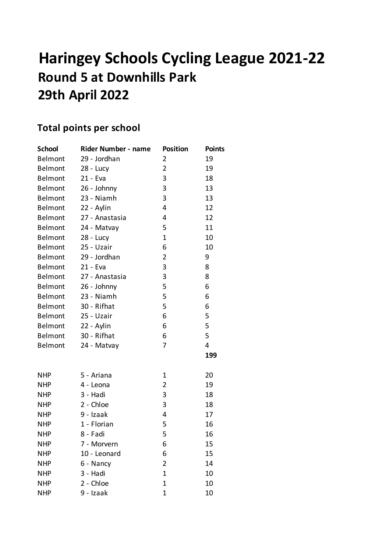# **Haringey Schools Cycling League 2021-22 Round 5 at Downhills Park 29th April 2022**

## **Total points per school**

| <b>School</b>  | Rider Number - name | <b>Position</b>               | <b>Points</b> |
|----------------|---------------------|-------------------------------|---------------|
| Belmont        | 29 - Jordhan        | 2                             | 19            |
| <b>Belmont</b> | 28 - Lucy           | $\overline{2}$                | 19            |
| Belmont        | 21 - Eva            | 3                             | 18            |
| Belmont        | 26 - Johnny         | 3                             | 13            |
| Belmont        | 23 - Niamh          | 3                             | 13            |
| <b>Belmont</b> | 22 - Aylin          | 4                             | 12            |
| Belmont        | 27 - Anastasia      | 4                             | 12            |
| <b>Belmont</b> | 24 - Matvay         | 5                             | 11            |
| Belmont        | $28 - Lucy$         | $\mathbf{1}$                  | 10            |
| Belmont        | 25 - Uzair          | 6                             | 10            |
| Belmont        | 29 - Jordhan        | $\overline{2}$                | 9             |
| <b>Belmont</b> | 21 - Eva            | 3                             | 8             |
| Belmont        | 27 - Anastasia      | 3                             | 8             |
| Belmont        | 26 - Johnny         | 5                             | 6             |
| Belmont        | 23 - Niamh          | 5                             | 6             |
| <b>Belmont</b> | 30 - Rifhat         | 5                             | 6             |
| Belmont        | 25 - Uzair          | 6                             | 5             |
| <b>Belmont</b> | 22 - Aylin          | 6                             | 5             |
| Belmont        | 30 - Rifhat         | 6                             | 5             |
| Belmont        | 24 - Matvay         | 7                             | 4             |
|                |                     |                               | 199           |
| <b>NHP</b>     | 5 - Ariana          | 1                             | 20            |
| <b>NHP</b>     | 4 - Leona           | $\overline{2}$                | 19            |
| <b>NHP</b>     | 3 - Hadi            | 3                             | 18            |
| <b>NHP</b>     | 2 - Chloe           | 3                             | 18            |
| <b>NHP</b>     | 9 - Izaak           | 4                             | 17            |
| <b>NHP</b>     | 1 - Florian         | 5                             | 16            |
| <b>NHP</b>     | 8 - Fadi            | 5                             | 16            |
| <b>NHP</b>     | 7 - Morvern         |                               | 15            |
| <b>NHP</b>     | 10 - Leonard        | 6<br>6                        | 15            |
|                |                     |                               |               |
| <b>NHP</b>     | 6 - Nancy           | $\overline{2}$<br>$\mathbf 1$ | 14            |
| <b>NHP</b>     | 3 - Hadi            |                               | 10            |
| <b>NHP</b>     | 2 - Chloe           | 1                             | 10            |
| <b>NHP</b>     | 9 - Izaak           | $\mathbf{1}$                  | 10            |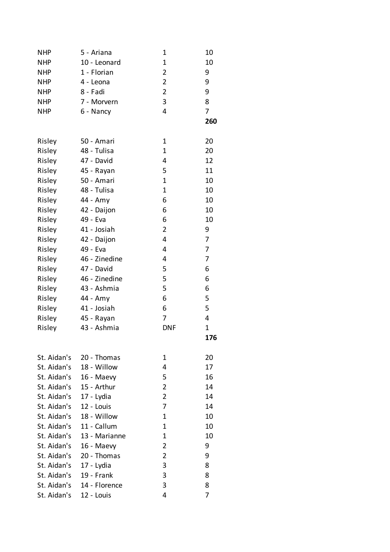| <b>NHP</b>  | 5 - Ariana        | 1              | 10          |
|-------------|-------------------|----------------|-------------|
| <b>NHP</b>  | 10 - Leonard      | $\mathbf 1$    | 10          |
| <b>NHP</b>  | 1 - Florian       | $\overline{2}$ | 9           |
| <b>NHP</b>  | 4 - Leona         | $\overline{2}$ | 9           |
| <b>NHP</b>  | 8 - Fadi          | $\overline{2}$ | 9           |
| <b>NHP</b>  | 7 - Morvern       | 3              | 8           |
| <b>NHP</b>  | 6 - Nancy         | 4              | 7           |
|             |                   |                | 260         |
| Risley      | 50 - Amari        | 1              | 20          |
| Risley      | 48 - Tulisa       | 1              | 20          |
| Risley      | 47 - David        | 4              | 12          |
| Risley      | 45 - Rayan        | 5              | 11          |
| Risley      | 50 - Amari        | $\mathbf 1$    | 10          |
| Risley      | 48 - Tulisa       | $\mathbf 1$    | 10          |
| Risley      | 44 - Amy          | 6              | 10          |
| Risley      | 42 - Daijon       | 6              | 10          |
| Risley      | 49 - Eva          | 6              | 10          |
| Risley      | 41 - Josiah       | $\overline{2}$ | 9           |
| Risley      | 42 - Daijon       | 4              | 7           |
| Risley      | 49 - Eva          | 4              | 7           |
| Risley      | 46 - Zinedine     | 4              | 7           |
| Risley      | 47 - David        | 5              | 6           |
| Risley      | 46 - Zinedine     | 5              | 6           |
| Risley      | 43 - Ashmia       | 5              | 6           |
| Risley      | 44 - Amy          | 6              | 5           |
| Risley      | 41 - Josiah       | 6              | 5           |
| Risley      | 45 - Rayan        | 7              | 4           |
| Risley      | 43 - Ashmia       | <b>DNF</b>     | $\mathbf 1$ |
|             |                   |                | 176         |
| St. Aidan's | 20 - Thomas       | 1              | 20          |
| St. Aidan's | 18 - Willow       | 4              | 17          |
| St. Aidan's | 16 - Maevy        | 5              | 16          |
| St. Aidan's | 15 - Arthur       | 2              | 14          |
| St. Aidan's | 17 - Lydia        | $\overline{2}$ | 14          |
| St. Aidan's | 12 - Louis        | 7              | 14          |
| St. Aidan's | 18 - Willow       | 1              | 10          |
| St. Aidan's | 11 - Callum       | 1              | 10          |
| St. Aidan's | 13 - Marianne     | $\mathbf{1}$   | 10          |
| St. Aidan's | 16 - Maevy        | $\overline{2}$ | 9           |
| St. Aidan's | 20 - Thomas       | $\overline{2}$ | 9           |
| St. Aidan's | 17 - Lydia        | 3              | 8           |
| St. Aidan's | <b>19 - Frank</b> | 3              | 8           |
| St. Aidan's | 14 - Florence     | 3              | 8           |
| St. Aidan's | 12 - Louis        | 4              | 7           |
|             |                   |                |             |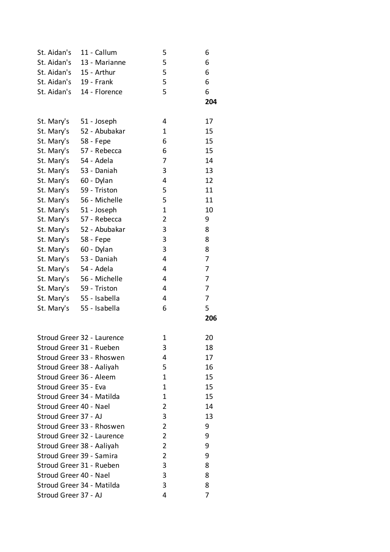| St. Aidan's              | 11 - Callum                | 5              | 6   |
|--------------------------|----------------------------|----------------|-----|
| St. Aidan's              | 13 - Marianne              | 5              | 6   |
| St. Aidan's              | 15 - Arthur                | 5              | 6   |
| St. Aidan's              | 19 - Frank                 | 5              | 6   |
| St. Aidan's              | 14 - Florence              | 5              | 6   |
|                          |                            |                | 204 |
| St. Mary's               | 51 - Joseph                | 4              | 17  |
| St. Mary's               | 52 - Abubakar              | 1              | 15  |
| St. Mary's 58 - Fepe     |                            | 6              | 15  |
| St. Mary's               | 57 - Rebecca               | 6              | 15  |
| St. Mary's               | 54 - Adela                 | 7              | 14  |
| St. Mary's               | 53 - Daniah                | 3              | 13  |
| St. Mary's               | 60 - Dylan                 | 4              | 12  |
| St. Mary's               | 59 - Triston               | 5              | 11  |
| St. Mary's               | 56 - Michelle              | 5              | 11  |
| St. Mary's 51 - Joseph   |                            | $\mathbf 1$    | 10  |
| St. Mary's               | 57 - Rebecca               | $\overline{2}$ | 9   |
| St. Mary's               | 52 - Abubakar              | 3              | 8   |
| St. Mary's               | 58 - Fepe                  | 3              | 8   |
| St. Mary's               | 60 - Dylan                 | 3              | 8   |
| St. Mary's               | 53 - Daniah                | $\overline{4}$ | 7   |
| St. Mary's               | 54 - Adela                 | 4              | 7   |
| St. Mary's               | 56 - Michelle              | 4              | 7   |
| St. Mary's 59 - Triston  |                            | 4              | 7   |
|                          | St. Mary's 55 - Isabella   | $\overline{4}$ | 7   |
| St. Mary's               | 55 - Isabella              | 6              | 5   |
|                          |                            |                | 206 |
|                          | Stroud Greer 32 - Laurence | 1              | 20  |
|                          | Stroud Greer 31 - Rueben   | 3              | 18  |
|                          | Stroud Greer 33 - Rhoswen  | 4              | 17  |
|                          | Stroud Greer 38 - Aaliyah  | 5              | 16  |
| Stroud Greer 36 - Aleem  |                            | 1              | 15  |
| Stroud Greer 35 - Eva    |                            | 1              | 15  |
|                          | Stroud Greer 34 - Matilda  | 1              | 15  |
| Stroud Greer 40 - Nael   |                            | 2              | 14  |
| Stroud Green 37 - AJ     |                            | 3              | 13  |
|                          | Stroud Greer 33 - Rhoswen  | 2              | 9   |
|                          | Stroud Greer 32 - Laurence | 2              | 9   |
|                          | Stroud Greer 38 - Aaliyah  | 2              | 9   |
| Stroud Green 39 - Samira |                            | 2              | 9   |
|                          | Stroud Greer 31 - Rueben   | 3              | 8   |
| Stroud Greer 40 - Nael   |                            | 3              | 8   |
|                          | Stroud Greer 34 - Matilda  | 3              | 8   |
| Stroud Green 37 - AJ     |                            | 4              | 7   |